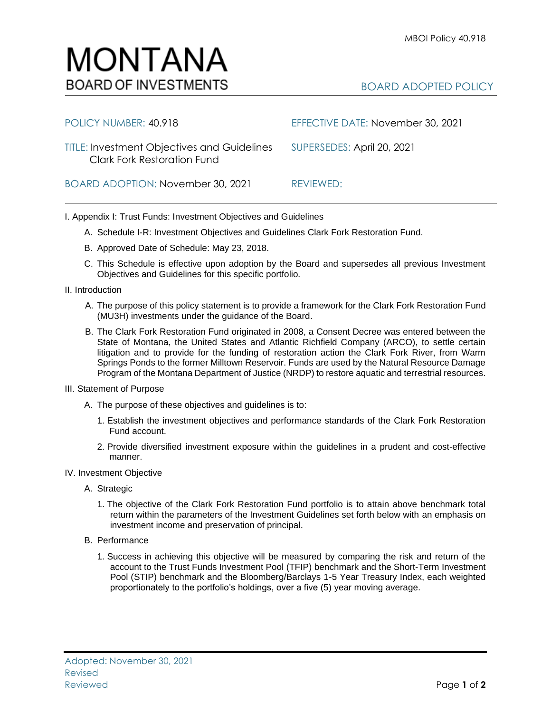| POLICY NUMBER: 40.918                                                                    | EFFECTIVE DATE: November 30, 2021 |
|------------------------------------------------------------------------------------------|-----------------------------------|
| <b>TITLE: Investment Objectives and Guidelines</b><br><b>Clark Fork Restoration Fund</b> | SUPERSEDES: April 20, 2021        |
| BOARD ADOPTION: November 30, 2021                                                        | REVIEWED:                         |

I. Appendix I: Trust Funds: Investment Objectives and Guidelines

- A. Schedule I-R: Investment Objectives and Guidelines Clark Fork Restoration Fund.
- B. Approved Date of Schedule: May 23, 2018.
- C. This Schedule is effective upon adoption by the Board and supersedes all previous Investment Objectives and Guidelines for this specific portfolio*.*
- II. Introduction
	- A. The purpose of this policy statement is to provide a framework for the Clark Fork Restoration Fund (MU3H) investments under the guidance of the Board.
	- B. The Clark Fork Restoration Fund originated in 2008, a Consent Decree was entered between the State of Montana, the United States and Atlantic Richfield Company (ARCO), to settle certain litigation and to provide for the funding of restoration action the Clark Fork River, from Warm Springs Ponds to the former Milltown Reservoir. Funds are used by the Natural Resource Damage Program of the Montana Department of Justice (NRDP) to restore aquatic and terrestrial resources.
- III. Statement of Purpose
	- A. The purpose of these objectives and guidelines is to:
		- 1. Establish the investment objectives and performance standards of the Clark Fork Restoration Fund account.
		- 2. Provide diversified investment exposure within the guidelines in a prudent and cost-effective manner.
- IV. Investment Objective
	- A. Strategic
		- 1. The objective of the Clark Fork Restoration Fund portfolio is to attain above benchmark total return within the parameters of the Investment Guidelines set forth below with an emphasis on investment income and preservation of principal.
	- B. Performance
		- 1. Success in achieving this objective will be measured by comparing the risk and return of the account to the Trust Funds Investment Pool (TFIP) benchmark and the Short-Term Investment Pool (STIP) benchmark and the Bloomberg/Barclays 1-5 Year Treasury Index, each weighted proportionately to the portfolio's holdings, over a five (5) year moving average.